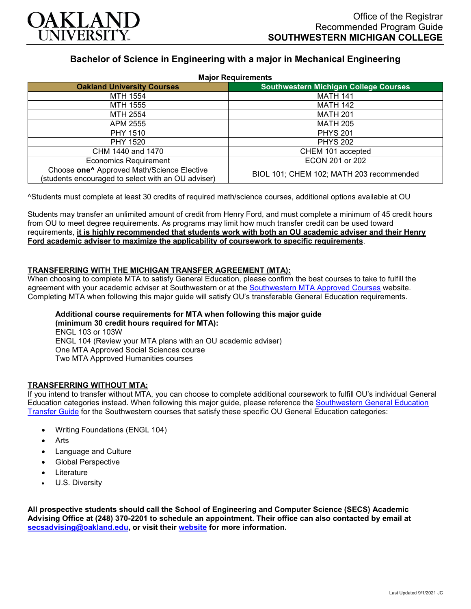

# **Bachelor of Science in Engineering with a major in Mechanical Engineering**

| <b>Major Requirements</b>                                                                                    |                                              |
|--------------------------------------------------------------------------------------------------------------|----------------------------------------------|
| <b>Oakland University Courses</b>                                                                            | <b>Southwestern Michigan College Courses</b> |
| MTH 1554                                                                                                     | <b>MATH 141</b>                              |
| MTH 1555                                                                                                     | <b>MATH 142</b>                              |
| MTH 2554                                                                                                     | <b>MATH 201</b>                              |
| APM 2555                                                                                                     | <b>MATH 205</b>                              |
| <b>PHY 1510</b>                                                                                              | <b>PHYS 201</b>                              |
| <b>PHY 1520</b>                                                                                              | <b>PHYS 202</b>                              |
| CHM 1440 and 1470                                                                                            | CHEM 101 accepted                            |
| <b>Economics Requirement</b>                                                                                 | ECON 201 or 202                              |
| Choose one <sup>^</sup> Approved Math/Science Elective<br>(students encouraged to select with an OU adviser) | BIOL 101; CHEM 102; MATH 203 recommended     |

^Students must complete at least 30 credits of required math/science courses, additional options available at OU

Students may transfer an unlimited amount of credit from Henry Ford, and must complete a minimum of 45 credit hours from OU to meet degree requirements. As programs may limit how much transfer credit can be used toward requirements, **it is highly recommended that students work with both an OU academic adviser and their Henry Ford academic adviser to maximize the applicability of coursework to specific requirements**.

# **TRANSFERRING WITH THE MICHIGAN TRANSFER AGREEMENT (MTA):**

When choosing to complete MTA to satisfy General Education, please confirm the best courses to take to fulfill the agreement with your academic adviser at Southwestern or at the [Southwestern MTA Approved Courses](https://www.swmich.edu/media/website/content-assets/documents/mta-ADA.pdf) website. Completing MTA when following this major guide will satisfy OU's transferable General Education requirements.

#### **Additional course requirements for MTA when following this major guide (minimum 30 credit hours required for MTA):**

ENGL 103 or 103W ENGL 104 (Review your MTA plans with an OU academic adviser) One MTA Approved Social Sciences course Two MTA Approved Humanities courses

# **TRANSFERRING WITHOUT MTA:**

If you intend to transfer without MTA, you can choose to complete additional coursework to fulfill OU's individual General Education categories instead. When following this major guide, please reference the [Southwestern General Education](https://www.oakland.edu/Assets/Oakland/program-guides/southwestern-michigan-college/university-general-education-requirements/Southwestern%20Gen%20Ed.pdf)  [Transfer Guide](https://www.oakland.edu/Assets/Oakland/program-guides/southwestern-michigan-college/university-general-education-requirements/Southwestern%20Gen%20Ed.pdf) for the Southwestern courses that satisfy these specific OU General Education categories:

- Writing Foundations (ENGL 104)
- **Arts**
- Language and Culture
- Global Perspective
- **Literature**
- U.S. Diversity

**All prospective students should call the School of Engineering and Computer Science (SECS) Academic Advising Office at (248) 370-2201 to schedule an appointment. Their office can also contacted by email at [secsadvising@oakland.edu,](mailto:secsadvising@oakland.edu) or visit their [website](https://wwwp.oakland.edu/secs/advising/) for more information.**